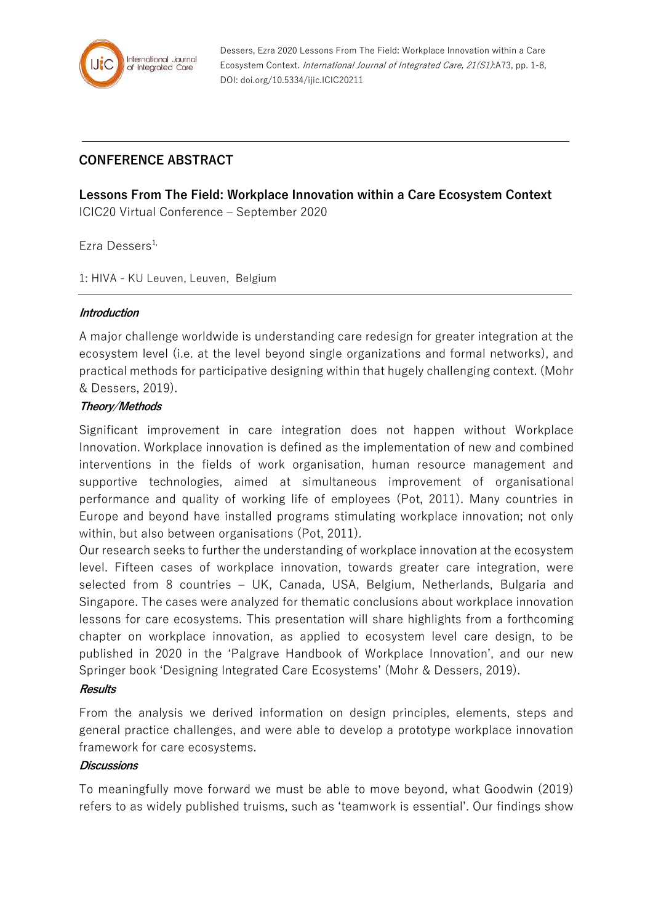

Dessers, Ezra 2020 Lessons From The Field: Workplace Innovation within a Care Ecosystem Context. International Journal of Integrated Care, 21(S1):A73, pp. 1-8, DOI: doi.org/10.5334/ijic.ICIC20211

# **CONFERENCE ABSTRACT**

**Lessons From The Field: Workplace Innovation within a Care Ecosystem Context** ICIC20 Virtual Conference – September 2020

Ezra Dessers<sup>1,</sup>

1: HIVA - KU Leuven, Leuven, Belgium

#### **Introduction**

A major challenge worldwide is understanding care redesign for greater integration at the ecosystem level (i.e. at the level beyond single organizations and formal networks), and practical methods for participative designing within that hugely challenging context. (Mohr & Dessers, 2019).

#### **Theory/Methods**

Significant improvement in care integration does not happen without Workplace Innovation. Workplace innovation is defined as the implementation of new and combined interventions in the fields of work organisation, human resource management and supportive technologies, aimed at simultaneous improvement of organisational performance and quality of working life of employees (Pot, 2011). Many countries in Europe and beyond have installed programs stimulating workplace innovation; not only within, but also between organisations (Pot, 2011).

Our research seeks to further the understanding of workplace innovation at the ecosystem level. Fifteen cases of workplace innovation, towards greater care integration, were selected from 8 countries – UK, Canada, USA, Belgium, Netherlands, Bulgaria and Singapore. The cases were analyzed for thematic conclusions about workplace innovation lessons for care ecosystems. This presentation will share highlights from a forthcoming chapter on workplace innovation, as applied to ecosystem level care design, to be published in 2020 in the 'Palgrave Handbook of Workplace Innovation', and our new Springer book 'Designing Integrated Care Ecosystems' (Mohr & Dessers, 2019).

#### **Results**

From the analysis we derived information on design principles, elements, steps and general practice challenges, and were able to develop a prototype workplace innovation framework for care ecosystems.

#### **Discussions**

To meaningfully move forward we must be able to move beyond, what Goodwin (2019) refers to as widely published truisms, such as 'teamwork is essential'. Our findings show